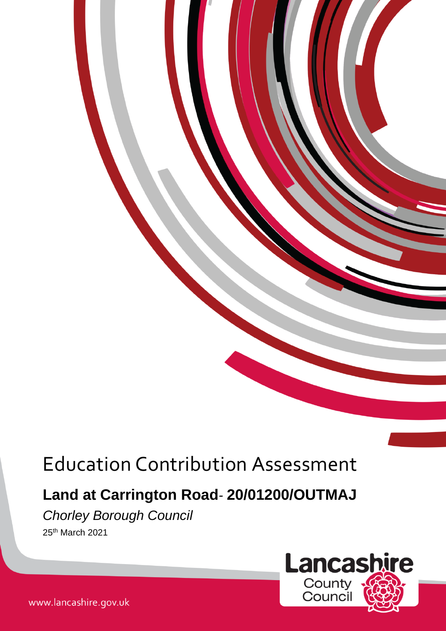# Education Contribution Assessment

# **Land at Carrington Road***-* **20/01200/OUTMAJ**

*Chorley Borough Council* 

25th March 2021



www.lancashire.gov.uk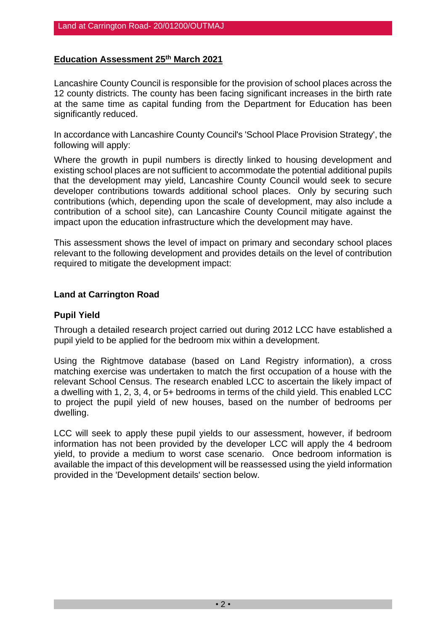### **Education Assessment 25th March 2021**

Lancashire County Council is responsible for the provision of school places across the 12 county districts. The county has been facing significant increases in the birth rate at the same time as capital funding from the Department for Education has been significantly reduced.

In accordance with Lancashire County Council's 'School Place Provision Strategy', the following will apply:

Where the growth in pupil numbers is directly linked to housing development and existing school places are not sufficient to accommodate the potential additional pupils that the development may yield, Lancashire County Council would seek to secure developer contributions towards additional school places. Only by securing such contributions (which, depending upon the scale of development, may also include a contribution of a school site), can Lancashire County Council mitigate against the impact upon the education infrastructure which the development may have.

This assessment shows the level of impact on primary and secondary school places relevant to the following development and provides details on the level of contribution required to mitigate the development impact:

#### **Land at Carrington Road**

#### **Pupil Yield**

Through a detailed research project carried out during 2012 LCC have established a pupil yield to be applied for the bedroom mix within a development.

Using the Rightmove database (based on Land Registry information), a cross matching exercise was undertaken to match the first occupation of a house with the relevant School Census. The research enabled LCC to ascertain the likely impact of a dwelling with 1, 2, 3, 4, or 5+ bedrooms in terms of the child yield. This enabled LCC to project the pupil yield of new houses, based on the number of bedrooms per dwelling.

LCC will seek to apply these pupil yields to our assessment, however, if bedroom information has not been provided by the developer LCC will apply the 4 bedroom yield, to provide a medium to worst case scenario. Once bedroom information is available the impact of this development will be reassessed using the yield information provided in the 'Development details' section below.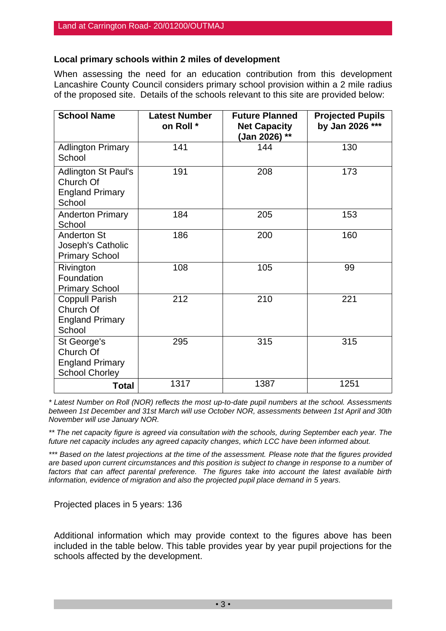### **Local primary schools within 2 miles of development**

When assessing the need for an education contribution from this development Lancashire County Council considers primary school provision within a 2 mile radius of the proposed site. Details of the schools relevant to this site are provided below:

| <b>School Name</b>                                                          | <b>Latest Number</b><br>on Roll * | <b>Future Planned</b><br><b>Net Capacity</b><br>(Jan 2026) ** | <b>Projected Pupils</b><br>by Jan 2026 *** |
|-----------------------------------------------------------------------------|-----------------------------------|---------------------------------------------------------------|--------------------------------------------|
| <b>Adlington Primary</b><br>School                                          | 141                               | 144                                                           | 130                                        |
| Adlington St Paul's<br>Church Of<br><b>England Primary</b><br>School        | 191                               | 208                                                           | 173                                        |
| <b>Anderton Primary</b><br>School                                           | 184                               | 205                                                           | 153                                        |
| <b>Anderton St</b><br>Joseph's Catholic<br><b>Primary School</b>            | 186                               | 200                                                           | 160                                        |
| Rivington<br>Foundation<br><b>Primary School</b>                            | 108                               | 105                                                           | 99                                         |
| <b>Coppull Parish</b><br>Church Of<br><b>England Primary</b><br>School      | 212                               | 210                                                           | 221                                        |
| St George's<br>Church Of<br><b>England Primary</b><br><b>School Chorley</b> | 295                               | 315                                                           | 315                                        |
| Total                                                                       | 1317                              | 1387                                                          | 1251                                       |

*\* Latest Number on Roll (NOR) reflects the most up-to-date pupil numbers at the school. Assessments between 1st December and 31st March will use October NOR, assessments between 1st April and 30th November will use January NOR.*

*\*\* The net capacity figure is agreed via consultation with the schools, during September each year. The future net capacity includes any agreed capacity changes, which LCC have been informed about.*

*\*\*\* Based on the latest projections at the time of the assessment. Please note that the figures provided are based upon current circumstances and this position is subject to change in response to a number of factors that can affect parental preference. The figures take into account the latest available birth information, evidence of migration and also the projected pupil place demand in 5 years.*

Projected places in 5 years: 136

Additional information which may provide context to the figures above has been included in the table below. This table provides year by year pupil projections for the schools affected by the development.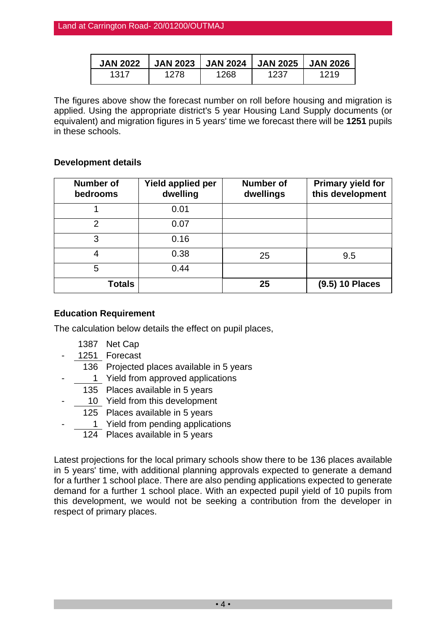| <b>JAN 2022</b> | <b>JAN 2023</b> | <b>JAN 2024</b> | <b>JAN 2025</b> | <b>JAN 2026</b> |
|-----------------|-----------------|-----------------|-----------------|-----------------|
| 1317            | 1278            | 1268            | 1237            | 1219            |

The figures above show the forecast number on roll before housing and migration is applied. Using the appropriate district's 5 year Housing Land Supply documents (or equivalent) and migration figures in 5 years' time we forecast there will be **1251** pupils in these schools.

# **Development details**

| <b>Number of</b><br>bedrooms | Yield applied per<br>dwelling | <b>Number of</b><br>dwellings | <b>Primary yield for</b><br>this development |
|------------------------------|-------------------------------|-------------------------------|----------------------------------------------|
|                              | 0.01                          |                               |                                              |
| 2                            | 0.07                          |                               |                                              |
| 3                            | 0.16                          |                               |                                              |
|                              | 0.38                          | 25                            | 9.5                                          |
| 5                            | 0.44                          |                               |                                              |
| Totals                       |                               | 25                            | (9.5) 10 Places                              |

# **Education Requirement**

The calculation below details the effect on pupil places,

- 1387 Net Cap
- 1251 Forecast
- 136 Projected places available in 5 years
- 1 Yield from approved applications
- 135 Places available in 5 years
- 10 Yield from this development
	- 125 Places available in 5 years
- 1 Yield from pending applications
	- 124 Places available in 5 years

Latest projections for the local primary schools show there to be 136 places available in 5 years' time, with additional planning approvals expected to generate a demand for a further 1 school place. There are also pending applications expected to generate demand for a further 1 school place. With an expected pupil yield of 10 pupils from this development, we would not be seeking a contribution from the developer in respect of primary places.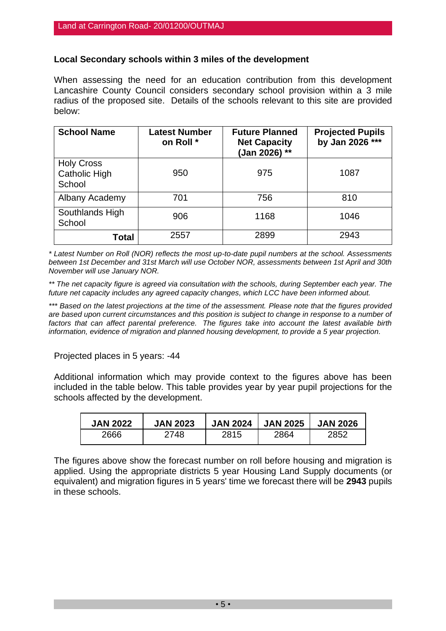# **Local Secondary schools within 3 miles of the development**

When assessing the need for an education contribution from this development Lancashire County Council considers secondary school provision within a 3 mile radius of the proposed site. Details of the schools relevant to this site are provided below:

| <b>School Name</b>                                  | <b>Latest Number</b><br>on Roll * | <b>Future Planned</b><br><b>Net Capacity</b><br>(Jan 2026) ** | <b>Projected Pupils</b><br>by Jan 2026 *** |
|-----------------------------------------------------|-----------------------------------|---------------------------------------------------------------|--------------------------------------------|
| <b>Holy Cross</b><br><b>Catholic High</b><br>School | 950                               | 975                                                           | 1087                                       |
| Albany Academy                                      | 701                               | 756                                                           | 810                                        |
| Southlands High<br>School                           | 906                               | 1168                                                          | 1046                                       |
| Total                                               | 2557                              | 2899                                                          | 2943                                       |

*\* Latest Number on Roll (NOR) reflects the most up-to-date pupil numbers at the school. Assessments between 1st December and 31st March will use October NOR, assessments between 1st April and 30th November will use January NOR.*

*\*\* The net capacity figure is agreed via consultation with the schools, during September each year. The future net capacity includes any agreed capacity changes, which LCC have been informed about.*

*\*\*\* Based on the latest projections at the time of the assessment. Please note that the figures provided are based upon current circumstances and this position is subject to change in response to a number of factors that can affect parental preference. The figures take into account the latest available birth information, evidence of migration and planned housing development, to provide a 5 year projection.*

Projected places in 5 years: -44

Additional information which may provide context to the figures above has been included in the table below. This table provides year by year pupil projections for the schools affected by the development.

| <b>JAN 2022</b> | <b>JAN 2023</b> | <b>JAN 2024</b> | <b>JAN 2025</b> | <b>JAN 2026</b> |
|-----------------|-----------------|-----------------|-----------------|-----------------|
| 2666            | 2748            | 2815            | 2864            | 2852            |

The figures above show the forecast number on roll before housing and migration is applied. Using the appropriate districts 5 year Housing Land Supply documents (or equivalent) and migration figures in 5 years' time we forecast there will be **2943** pupils in these schools.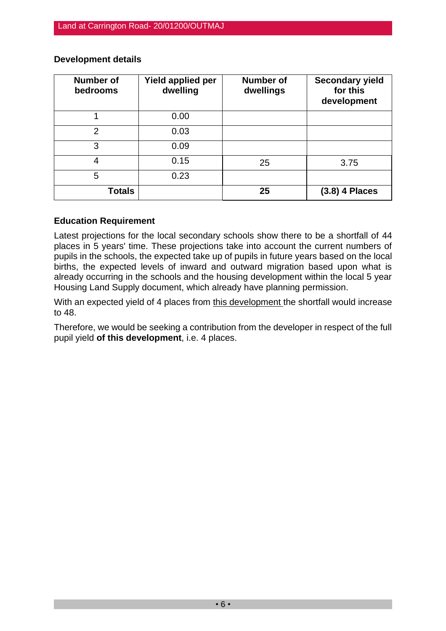| <b>Number of</b><br>bedrooms | <b>Yield applied per</b><br>dwelling | <b>Number of</b><br>dwellings | <b>Secondary yield</b><br>for this<br>development |
|------------------------------|--------------------------------------|-------------------------------|---------------------------------------------------|
|                              | 0.00                                 |                               |                                                   |
| $\overline{2}$               | 0.03                                 |                               |                                                   |
| 3                            | 0.09                                 |                               |                                                   |
| 4                            | 0.15                                 | 25                            | 3.75                                              |
| 5                            | 0.23                                 |                               |                                                   |
| <b>Totals</b>                |                                      | 25                            | $(3.8)$ 4 Places                                  |

### **Development details**

#### **Education Requirement**

Latest projections for the local secondary schools show there to be a shortfall of 44 places in 5 years' time. These projections take into account the current numbers of pupils in the schools, the expected take up of pupils in future years based on the local births, the expected levels of inward and outward migration based upon what is already occurring in the schools and the housing development within the local 5 year Housing Land Supply document, which already have planning permission.

With an expected yield of 4 places from this development the shortfall would increase to 48.

Therefore, we would be seeking a contribution from the developer in respect of the full pupil yield **of this development**, i.e. 4 places.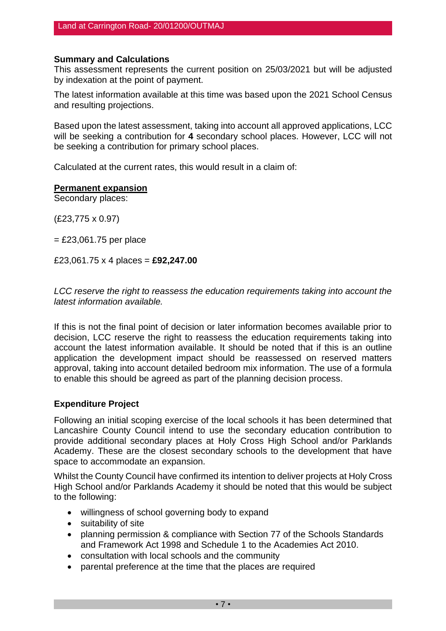#### **Summary and Calculations**

This assessment represents the current position on 25/03/2021 but will be adjusted by indexation at the point of payment.

The latest information available at this time was based upon the 2021 School Census and resulting projections.

Based upon the latest assessment, taking into account all approved applications, LCC will be seeking a contribution for **4** secondary school places. However, LCC will not be seeking a contribution for primary school places.

Calculated at the current rates, this would result in a claim of:

#### **Permanent expansion**

Secondary places:

(£23,775 x 0.97)

 $=$  £23,061.75 per place

£23,061.75 x 4 places = **£92,247.00**

*LCC reserve the right to reassess the education requirements taking into account the latest information available.*

If this is not the final point of decision or later information becomes available prior to decision, LCC reserve the right to reassess the education requirements taking into account the latest information available. It should be noted that if this is an outline application the development impact should be reassessed on reserved matters approval, taking into account detailed bedroom mix information. The use of a formula to enable this should be agreed as part of the planning decision process.

#### **Expenditure Project**

Following an initial scoping exercise of the local schools it has been determined that Lancashire County Council intend to use the secondary education contribution to provide additional secondary places at Holy Cross High School and/or Parklands Academy. These are the closest secondary schools to the development that have space to accommodate an expansion.

Whilst the County Council have confirmed its intention to deliver projects at Holy Cross High School and/or Parklands Academy it should be noted that this would be subject to the following:

- willingness of school governing body to expand
- suitability of site
- planning permission & compliance with Section 77 of the Schools Standards and Framework Act 1998 and Schedule 1 to the Academies Act 2010.
- consultation with local schools and the community
- parental preference at the time that the places are required